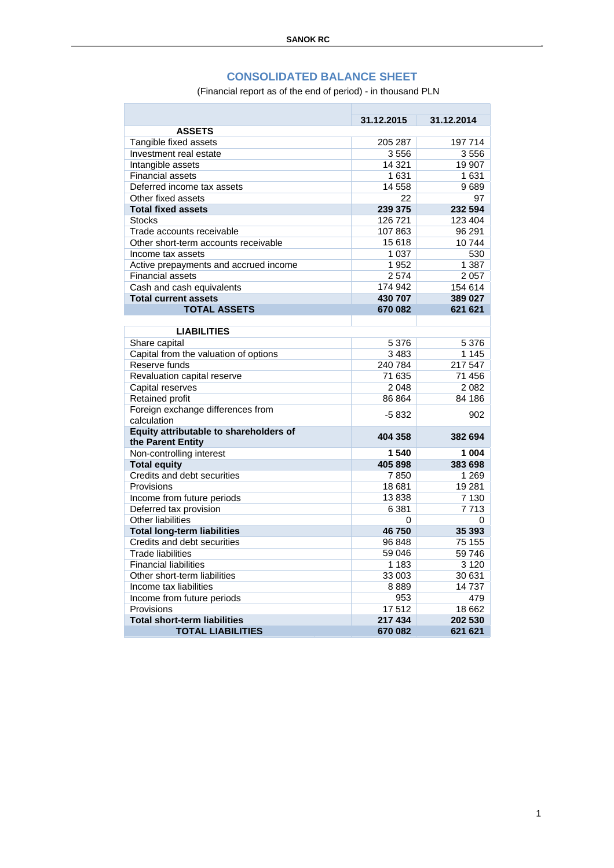## **CONSOLIDATED BALANCE SHEET**

(Financial report as of the end of period) - in thousand PLN

|                                                  | 31.12.2015 | 31.12.2014 |
|--------------------------------------------------|------------|------------|
| <b>ASSETS</b>                                    |            |            |
| Tangible fixed assets                            | 205 287    | 197 714    |
| Investment real estate                           | 3556       | 3556       |
| Intangible assets                                | 14 3 21    | 19 907     |
| <b>Financial assets</b>                          | 1631       | 1 631      |
| Deferred income tax assets                       | 14 558     | 9689       |
| Other fixed assets                               | 22         | 97         |
| <b>Total fixed assets</b>                        | 239 375    | 232 594    |
| <b>Stocks</b>                                    | 126 721    | 123 404    |
| Trade accounts receivable                        | 107863     | 96 291     |
| Other short-term accounts receivable             | 15 618     | 10744      |
| Income tax assets                                | 1 0 3 7    | 530        |
| Active prepayments and accrued income            | 1952       | 1 3 8 7    |
| <b>Financial assets</b>                          | 2574       | 2057       |
| Cash and cash equivalents                        | 174 942    | 154 614    |
| <b>Total current assets</b>                      | 430 707    | 389 027    |
| <b>TOTAL ASSETS</b>                              | 670 082    | 621 621    |
|                                                  |            |            |
| <b>LIABILITIES</b>                               |            |            |
| Share capital                                    | 5 3 7 6    | 5 3 7 6    |
| Capital from the valuation of options            | 3483       | 1 1 4 5    |
| Reserve funds                                    | 240 784    | 217 547    |
| Revaluation capital reserve                      | 71 635     | 71 456     |
| Capital reserves                                 | 2048       | 2 0 8 2    |
| Retained profit                                  | 86 864     | 84 186     |
| Foreign exchange differences from<br>calculation | $-5832$    | 902        |
| Equity attributable to shareholders of           |            |            |
| the Parent Entity                                | 404 358    | 382 694    |
| Non-controlling interest                         | 1540       | 1 0 0 4    |
| <b>Total equity</b>                              | 405 898    | 383 698    |
| Credits and debt securities                      | 7850       | 1 2 6 9    |
| Provisions                                       | 18681      | 19 281     |
| Income from future periods                       | 13838      | 7 1 3 0    |
| Deferred tax provision                           | 6 3 8 1    | 7713       |
| <b>Other liabilities</b>                         | $\Omega$   | 0          |
| <b>Total long-term liabilities</b>               | 46750      | 35 393     |
| Credits and debt securities                      | 96 848     | 75 155     |
| <b>Trade liabilities</b>                         | 59 046     | 59 746     |
| <b>Financial liabilities</b>                     | 1 1 8 3    | 3 1 2 0    |
| Other short-term liabilities                     | 33 003     | 30 631     |
| Income tax liabilities                           | 8889       | 14737      |
| Income from future periods                       | 953        | 479        |
| Provisions                                       | 17512      | 18 662     |
| <b>Total short-term liabilities</b>              | 217 434    | 202 530    |
| <b>TOTAL LIABILITIES</b>                         | 670 082    | 621 621    |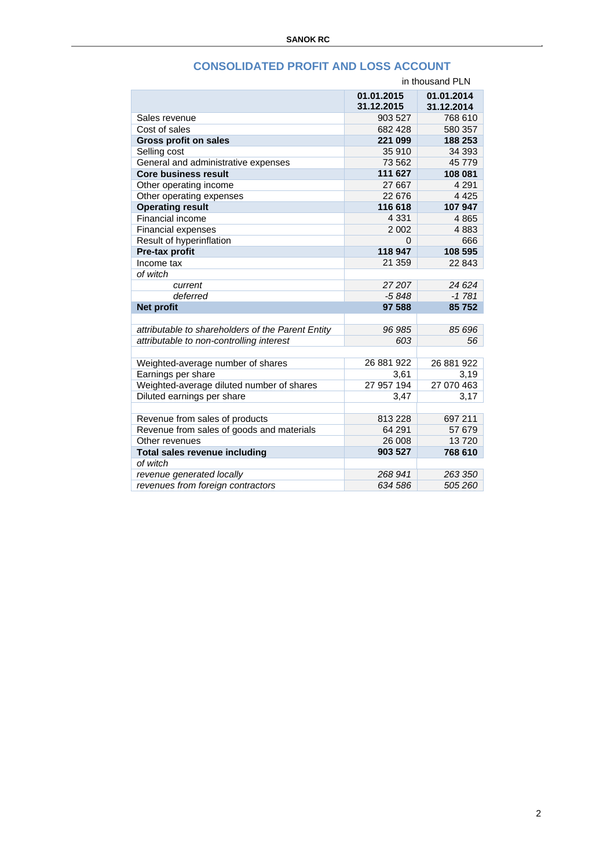|                                                   | in thousand PLN          |                          |  |
|---------------------------------------------------|--------------------------|--------------------------|--|
|                                                   | 01.01.2015<br>31.12.2015 | 01.01.2014<br>31.12.2014 |  |
| Sales revenue                                     | 903 527                  | 768 610                  |  |
| Cost of sales                                     | 682 428                  | 580 357                  |  |
| <b>Gross profit on sales</b>                      | 221 099                  | 188 253                  |  |
| Selling cost                                      | 35 910                   | 34 393                   |  |
| General and administrative expenses               | 73 562                   | 45 779                   |  |
| <b>Core business result</b>                       | 111 627                  | 108 081                  |  |
| Other operating income                            | 27 667                   | 4 2 9 1                  |  |
| Other operating expenses                          | 22 676                   | 4 4 2 5                  |  |
| <b>Operating result</b>                           | 116 618                  | 107 947                  |  |
| Financial income                                  | 4 3 3 1                  | 4865                     |  |
| <b>Financial expenses</b>                         | 2 0 0 2                  | 4883                     |  |
| Result of hyperinflation                          | 0                        | 666                      |  |
| Pre-tax profit                                    | 118 947                  | 108 595                  |  |
| Income tax                                        | 21 359                   | 22 843                   |  |
| of witch                                          |                          |                          |  |
| current                                           | 27207                    | 24 6 24                  |  |
| deferred                                          | $-5848$                  | $-1781$                  |  |
| <b>Net profit</b>                                 | 97 588                   | 85752                    |  |
|                                                   |                          |                          |  |
| attributable to shareholders of the Parent Entity | 96 985                   | 85 696                   |  |
| attributable to non-controlling interest          | 603                      | 56                       |  |
|                                                   |                          |                          |  |
| Weighted-average number of shares                 | 26 881 922               | 26 881 922               |  |
| Earnings per share                                | 3,61                     | 3,19                     |  |
| Weighted-average diluted number of shares         | 27 957 194               | 27 070 463               |  |
| Diluted earnings per share                        | 3,47                     | 3,17                     |  |
|                                                   |                          |                          |  |
| Revenue from sales of products                    | 813 228                  | 697 211                  |  |
| Revenue from sales of goods and materials         | 64 291                   | 57 679                   |  |
| Other revenues                                    | 26 008                   | 13720                    |  |
| <b>Total sales revenue including</b>              | 903 527                  | 768 610                  |  |
| of witch                                          |                          |                          |  |
| revenue generated locally                         | 268 941                  | 263 350                  |  |
| revenues from foreign contractors                 | 634 586                  | 505 260                  |  |

## **CONSOLIDATED PROFIT AND LOSS ACCOUNT**